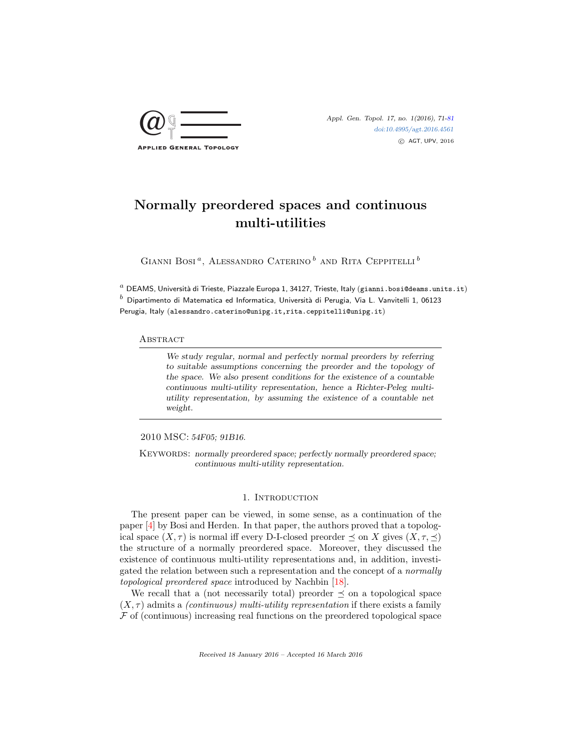

Appl. Gen. Topol. 17, no. 1(2016), 71[-81](#page-9-0) [doi:10.4995/agt.2016.4561](http://dx.doi.org/10.4995/agt.2016.4561) c AGT, UPV, 2016

# Normally preordered spaces and continuous multi-utilities

GIANNI BOSI<sup> $a$ </sup>, ALESSANDRO CATERINO<sup>b</sup> AND RITA CEPPITELLI<sup>b</sup>

 $^a$  DEAMS, Università di Trieste, Piazzale Europa 1, 34127, Trieste, Italy (gianni.bosi@deams.units.it)  $^b$  Dipartimento di Matematica ed Informatica, Università di Perugia, Via L. Vanvitelli 1, 06123 Perugia, Italy (alessandro.caterino@unipg.it,rita.ceppitelli@unipg.it)

#### **ABSTRACT**

We study regular, normal and perfectly normal preorders by referring to suitable assumptions concerning the preorder and the topology of the space. We also present conditions for the existence of a countable continuous multi-utility representation, hence a Richter-Peleg multiutility representation, by assuming the existence of a countable net weight.

2010 MSC: 54F05; 91B16.

KEYWORDS: normally preordered space; perfectly normally preordered space; continuous multi-utility representation.

# 1. INTRODUCTION

The present paper can be viewed, in some sense, as a continuation of the paper [\[4\]](#page-9-1) by Bosi and Herden. In that paper, the authors proved that a topological space  $(X, \tau)$  is normal iff every D-I-closed preorder  $\prec$  on X gives  $(X, \tau, \prec)$ the structure of a normally preordered space. Moreover, they discussed the existence of continuous multi-utility representations and, in addition, investigated the relation between such a representation and the concept of a normally topological preordered space introduced by Nachbin [\[18\]](#page-10-0).

We recall that a (not necessarily total) preorder  $\preceq$  on a topological space  $(X, \tau)$  admits a *(continuous) multi-utility representation* if there exists a family  $\mathcal F$  of (continuous) increasing real functions on the preordered topological space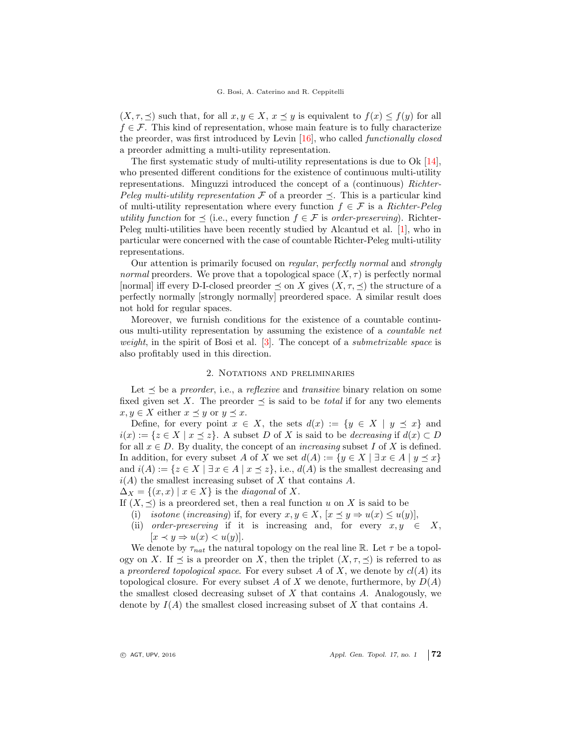$(X, \tau, \preceq)$  such that, for all  $x, y \in X$ ,  $x \preceq y$  is equivalent to  $f(x) \leq f(y)$  for all  $f \in \mathcal{F}$ . This kind of representation, whose main feature is to fully characterize the preorder, was first introduced by Levin [\[16\]](#page-10-1), who called functionally closed a preorder admitting a multi-utility representation.

The first systematic study of multi-utility representations is due to Ok [\[14\]](#page-10-2), who presented different conditions for the existence of continuous multi-utility representations. Minguzzi introduced the concept of a (continuous) Richter-Peleg multi-utility representation F of a preorder  $\preceq$ . This is a particular kind of multi-utility representation where every function  $f \in \mathcal{F}$  is a Richter-Peleg utility function for  $\preceq$  (i.e., every function  $f \in \mathcal{F}$  is order-preserving). Richter-Peleg multi-utilities have been recently studied by Alcantud et al. [\[1\]](#page-9-2), who in particular were concerned with the case of countable Richter-Peleg multi-utility representations.

Our attention is primarily focused on regular, perfectly normal and strongly normal preorders. We prove that a topological space  $(X, \tau)$  is perfectly normal [normal] iff every D-I-closed preorder  $\preceq$  on X gives  $(X, \tau, \preceq)$  the structure of a perfectly normally [strongly normally] preordered space. A similar result does not hold for regular spaces.

Moreover, we furnish conditions for the existence of a countable continuous multi-utility representation by assuming the existence of a countable net weight, in the spirit of Bosi et al.  $[3]$ . The concept of a *submetrizable space* is also profitably used in this direction.

## 2. Notations and preliminaries

Let  $\preceq$  be a preorder, i.e., a reflexive and transitive binary relation on some fixed given set X. The preorder  $\prec$  is said to be *total* if for any two elements  $x, y \in X$  either  $x \preceq y$  or  $y \preceq x$ .

Define, for every point  $x \in X$ , the sets  $d(x) := \{y \in X \mid y \preceq x\}$  and  $i(x) := \{z \in X \mid x \leq z\}.$  A subset D of X is said to be *decreasing* if  $d(x) \subset D$ for all  $x \in D$ . By duality, the concept of an *increasing* subset I of X is defined. In addition, for every subset A of X we set  $d(A) := \{y \in X \mid \exists x \in A \mid y \preceq x\}$ and  $i(A) := \{z \in X \mid \exists x \in A \mid x \leq z\},\$ i.e.,  $d(A)$  is the smallest decreasing and  $i(A)$  the smallest increasing subset of X that contains A.

 $\Delta_X = \{(x, x) \mid x \in X\}$  is the *diagonal* of X.

- If  $(X, \preceq)$  is a preordered set, then a real function u on X is said to be
	- (i) isotone (increasing) if, for every  $x, y \in X$ ,  $[x \preceq y \Rightarrow u(x) \leq u(y)]$ ,
	- (ii) order-preserving if it is increasing and, for every  $x, y \in X$ ,  $[x \prec y \Rightarrow u(x) < u(y)].$

We denote by  $\tau_{nat}$  the natural topology on the real line R. Let  $\tau$  be a topology on X. If  $\preceq$  is a preorder on X, then the triplet  $(X, \tau, \preceq)$  is referred to as a preordered topological space. For every subset A of X, we denote by  $cl(A)$  its topological closure. For every subset A of X we denote, furthermore, by  $D(A)$ the smallest closed decreasing subset of  $X$  that contains  $A$ . Analogously, we denote by  $I(A)$  the smallest closed increasing subset of X that contains A.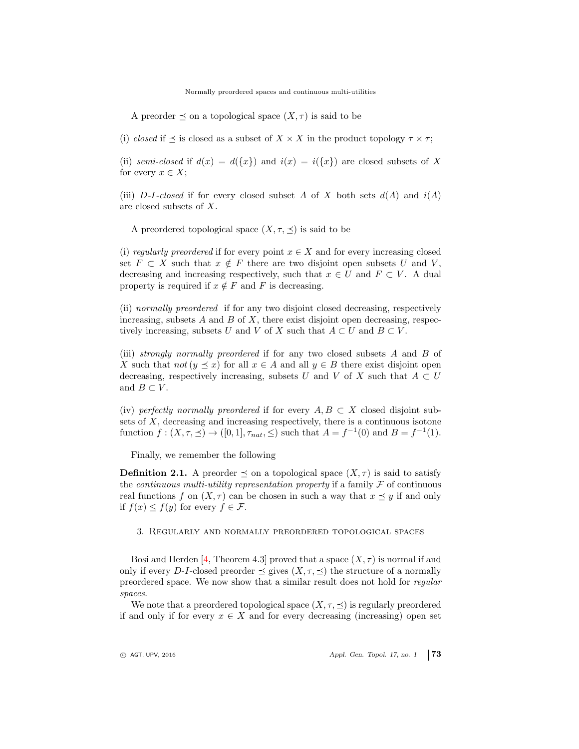Normally preordered spaces and continuous multi-utilities

A preorder  $\preceq$  on a topological space  $(X, \tau)$  is said to be

(i) closed if  $\preceq$  is closed as a subset of  $X \times X$  in the product topology  $\tau \times \tau$ ;

(ii) semi-closed if  $d(x) = d({x})$  and  $i(x) = i({x})$  are closed subsets of X for every  $x \in X$ ;

(iii) D-I-closed if for every closed subset A of X both sets  $d(A)$  and  $i(A)$ are closed subsets of X.

A preordered topological space  $(X, \tau, \preceq)$  is said to be

(i) regularly preordered if for every point  $x \in X$  and for every increasing closed set  $F \subset X$  such that  $x \notin F$  there are two disjoint open subsets U and V, decreasing and increasing respectively, such that  $x \in U$  and  $F \subset V$ . A dual property is required if  $x \notin F$  and F is decreasing.

(ii) normally preordered if for any two disjoint closed decreasing, respectively increasing, subsets  $A$  and  $B$  of  $X$ , there exist disjoint open decreasing, respectively increasing, subsets U and V of X such that  $A \subset U$  and  $B \subset V$ .

(iii) strongly normally preordered if for any two closed subsets A and B of X such that not  $(y \leq x)$  for all  $x \in A$  and all  $y \in B$  there exist disjoint open decreasing, respectively increasing, subsets U and V of X such that  $A \subset U$ and  $B \subset V$ .

(iv) perfectly normally preordered if for every  $A, B \subset X$  closed disjoint subsets of X, decreasing and increasing respectively, there is a continuous isotone function  $f: (X, \tau, \preceq) \to ([0, 1], \tau_{nat}, \leq)$  such that  $A = f^{-1}(0)$  and  $B = f^{-1}(1)$ .

Finally, we remember the following

**Definition 2.1.** A preorder  $\preceq$  on a topological space  $(X, \tau)$  is said to satisfy the *continuous multi-utility representation property* if a family  $\mathcal F$  of continuous real functions f on  $(X, \tau)$  can be chosen in such a way that  $x \preceq y$  if and only if  $f(x) \leq f(y)$  for every  $f \in \mathcal{F}$ .

3. Regularly and normally preordered topological spaces

Bosi and Herden [\[4,](#page-9-1) Theorem 4.3] proved that a space  $(X, \tau)$  is normal if and only if every D-I-closed preorder  $\preceq$  gives  $(X, \tau, \preceq)$  the structure of a normally preordered space. We now show that a similar result does not hold for regular spaces.

We note that a preordered topological space  $(X, \tau, \preceq)$  is regularly preordered if and only if for every  $x \in X$  and for every decreasing (increasing) open set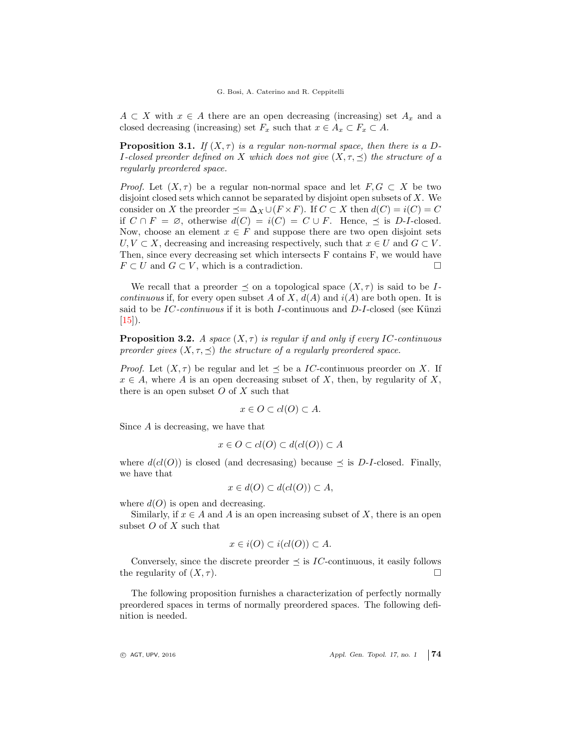$A \subset X$  with  $x \in A$  there are an open decreasing (increasing) set  $A_x$  and a closed decreasing (increasing) set  $F_x$  such that  $x \in A_x \subset F_x \subset A$ .

**Proposition 3.1.** If  $(X, \tau)$  is a regular non-normal space, then there is a D-I-closed preorder defined on X which does not give  $(X, \tau, \preceq)$  the structure of a regularly preordered space.

*Proof.* Let  $(X, \tau)$  be a regular non-normal space and let  $F, G \subset X$  be two disjoint closed sets which cannot be separated by disjoint open subsets of  $X$ . We consider on X the preorder  $\preceq = \Delta_X \cup (F \times F)$ . If  $C \subset X$  then  $d(C) = i(C) = C$ if  $C \cap F = \emptyset$ , otherwise  $d(C) = i(C) = C \cup F$ . Hence,  $\preceq$  is D-I-closed. Now, choose an element  $x \in F$  and suppose there are two open disjoint sets  $U, V \subset X$ , decreasing and increasing respectively, such that  $x \in U$  and  $G \subset V$ . Then, since every decreasing set which intersects F contains F, we would have  $F \subset U$  and  $G \subset V$ , which is a contradiction.

We recall that a preorder  $\preceq$  on a topological space  $(X, \tau)$  is said to be I*continuous* if, for every open subset A of X,  $d(A)$  and  $i(A)$  are both open. It is said to be IC-continuous if it is both I-continuous and  $D$ -I-closed (see Künzi  $[15]$ .

<span id="page-3-0"></span>**Proposition 3.2.** A space  $(X, \tau)$  is regular if and only if every IC-continuous preorder gives  $(X, \tau, \preceq)$  the structure of a regularly preordered space.

*Proof.* Let  $(X, \tau)$  be regular and let  $\preceq$  be a *IC*-continuous preorder on X. If  $x \in A$ , where A is an open decreasing subset of X, then, by regularity of X, there is an open subset  $O$  of  $X$  such that

$$
x \in O \subset cl(O) \subset A.
$$

Since A is decreasing, we have that

$$
x \in O \subset cl(O) \subset d(cl(O)) \subset A
$$

where  $d(cl(O))$  is closed (and decressing) because  $\preceq$  is D-I-closed. Finally, we have that

$$
x \in d(O) \subset d(cl(O)) \subset A,
$$

where  $d(O)$  is open and decreasing.

Similarly, if  $x \in A$  and A is an open increasing subset of X, there is an open subset  $O$  of  $X$  such that

$$
x \in i(O) \subset i(cl(O)) \subset A.
$$

Conversely, since the discrete preorder  $\preceq$  is IC-continuous, it easily follows the regularity of  $(X, \tau)$ .

The following proposition furnishes a characterization of perfectly normally preordered spaces in terms of normally preordered spaces. The following definition is needed.

 $\circ$  AGT, UPV, 2016  $\circ$  Appl. Gen. Topol. 17, no. 1 74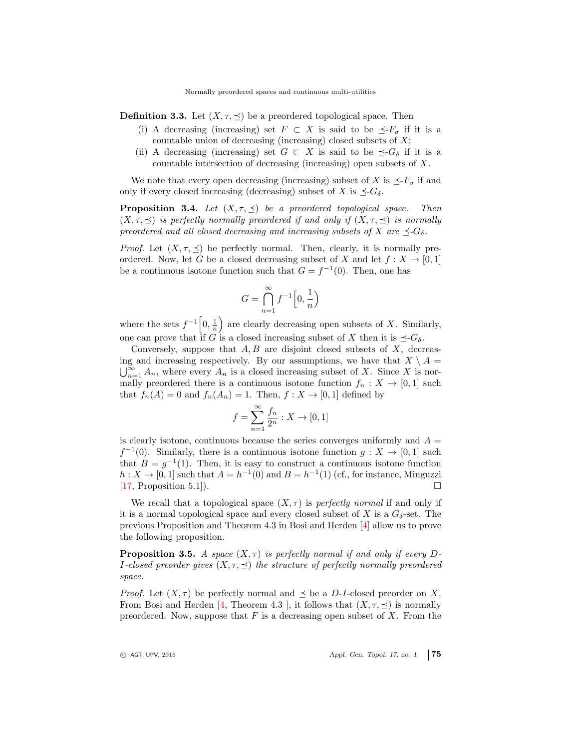**Definition 3.3.** Let  $(X, \tau, \leq)$  be a preordered topological space. Then

- (i) A decreasing (increasing) set  $F \subset X$  is said to be  $\preceq F_{\sigma}$  if it is a countable union of decreasing (increasing) closed subsets of  $X$ ;
- (ii) A decreasing (increasing) set  $G \subset X$  is said to be  $\preceq G_\delta$  if it is a countable intersection of decreasing (increasing) open subsets of X.

We note that every open decreasing (increasing) subset of X is  $\preceq$ - $F_{\sigma}$  if and only if every closed increasing (decreasing) subset of X is  $\preceq G_\delta$ .

**Proposition 3.4.** Let  $(X, \tau, \preceq)$  be a preordered topological space. Then  $(X, \tau, \preceq)$  is perfectly normally preordered if and only if  $(X, \tau, \preceq)$  is normally preordered and all closed decreasing and increasing subsets of X are  $\preceq-G_\delta$ .

*Proof.* Let  $(X, \tau, \preceq)$  be perfectly normal. Then, clearly, it is normally preordered. Now, let G be a closed decreasing subset of X and let  $f: X \to [0,1]$ be a continuous isotone function such that  $G = f^{-1}(0)$ . Then, one has

$$
G = \bigcap_{n=1}^{\infty} f^{-1} \Big[ 0, \frac{1}{n} \Big)
$$

where the sets  $f^{-1}\left[0, \frac{1}{n}\right)$  are clearly decreasing open subsets of X. Similarly, one can prove that if G is a closed increasing subset of X then it is  $\preceq G_\delta$ .

Conversely, suppose that  $A, B$  are disjoint closed subsets of  $X$ , decreasing and increasing respectively. By our assumptions, we have that  $X \setminus A =$  $\bigcup_{n=1}^{\infty} A_n$ , where every  $A_n$  is a closed increasing subset of X. Since X is normally preordered there is a continuous isotone function  $f_n: X \to [0,1]$  such that  $f_n(A) = 0$  and  $f_n(A_n) = 1$ . Then,  $f: X \to [0, 1]$  defined by

$$
f=\sum_{n=1}^\infty \frac{f_n}{2^n}:X\to [0,1]
$$

is clearly isotone, continuous because the series converges uniformly and  $A =$  $f^{-1}(0)$ . Similarly, there is a continuous isotone function  $g: X \to [0,1]$  such that  $B = g^{-1}(1)$ . Then, it is easy to construct a continuous isotone function  $h: X \to [0,1]$  such that  $A = h^{-1}(0)$  and  $B = h^{-1}(1)$  (cf., for instance, Minguzzi [\[17,](#page-10-4) Proposition 5.1]).

We recall that a topological space  $(X, \tau)$  is *perfectly normal* if and only if it is a normal topological space and every closed subset of X is a  $G_{\delta}$ -set. The previous Proposition and Theorem 4.3 in Bosi and Herden [\[4\]](#page-9-1) allow us to prove the following proposition.

**Proposition 3.5.** A space  $(X, \tau)$  is perfectly normal if and only if every D-I-closed preorder gives  $(X, \tau, \preceq)$  the structure of perfectly normally preordered space.

*Proof.* Let  $(X, \tau)$  be perfectly normal and  $\preceq$  be a D-I-closed preorder on X. From Bosi and Herden [\[4,](#page-9-1) Theorem 4.3], it follows that  $(X, \tau, \prec)$  is normally preordered. Now, suppose that  $F$  is a decreasing open subset of  $X$ . From the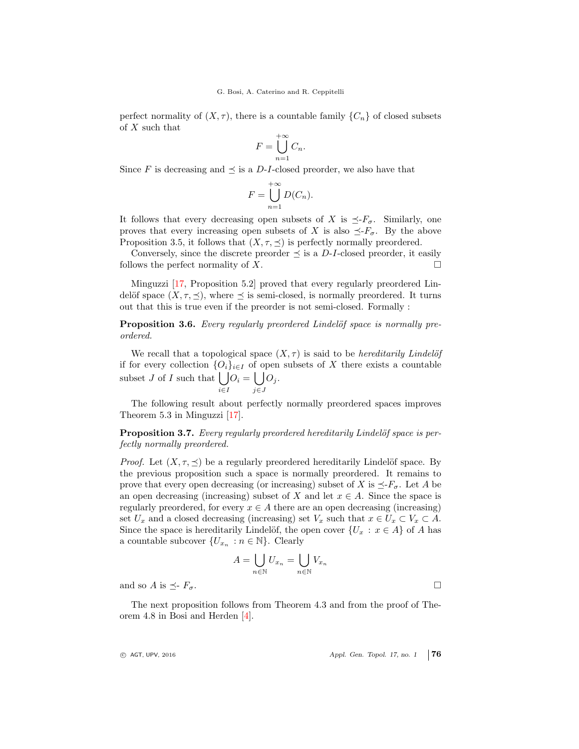perfect normality of  $(X, \tau)$ , there is a countable family  $\{C_n\}$  of closed subsets of X such that

$$
F = \bigcup_{n=1}^{+\infty} C_n.
$$

Since F is decreasing and  $\preceq$  is a D-I-closed preorder, we also have that

$$
F = \bigcup_{n=1}^{+\infty} D(C_n).
$$

It follows that every decreasing open subsets of X is  $\preceq F_{\sigma}$ . Similarly, one proves that every increasing open subsets of X is also  $\preceq F_{\sigma}$ . By the above Proposition 3.5, it follows that  $(X, \tau, \preceq)$  is perfectly normally preordered.

Conversely, since the discrete preorder  $\preceq$  is a D-I-closed preorder, it easily follows the perfect normality of  $X$ .

Minguzzi [\[17,](#page-10-4) Proposition 5.2] proved that every regularly preordered Lindelöf space  $(X, \tau, \preceq)$ , where  $\preceq$  is semi-closed, is normally preordered. It turns out that this is true even if the preorder is not semi-closed. Formally :

**Proposition 3.6.** Every regularly preordered Lindelöf space is normally preordered.

We recall that a topological space  $(X, \tau)$  is said to be *hereditarily Lindelöf* if for every collection  $\{O_i\}_{i\in I}$  of open subsets of X there exists a countable subset  $J$  of  $I$  such that  $\left| \right|$ i∈I  $O_i = \left\lfloor \ \right\rfloor$ j∈J  $O_j$ .

The following result about perfectly normally preordered spaces improves Theorem 5.3 in Minguzzi [\[17\]](#page-10-4).

**Proposition 3.7.** Every regularly preordered hereditarily Lindelöf space is perfectly normally preordered.

*Proof.* Let  $(X, \tau, \leq)$  be a regularly preordered hereditarily Lindelöf space. By the previous proposition such a space is normally preordered. It remains to prove that every open decreasing (or increasing) subset of X is  $\preceq F_{\sigma}$ . Let A be an open decreasing (increasing) subset of X and let  $x \in A$ . Since the space is regularly preordered, for every  $x \in A$  there are an open decreasing (increasing) set  $U_x$  and a closed decreasing (increasing) set  $V_x$  such that  $x \in U_x \subset V_x \subset A$ . Since the space is hereditarily Lindelöf, the open cover  $\{U_x : x \in A\}$  of A has a countable subcover  $\{U_{x_n} : n \in \mathbb{N}\}\$ . Clearly

$$
A = \bigcup_{n \in \mathbb{N}} U_{x_n} = \bigcup_{n \in \mathbb{N}} V_{x_n}
$$

and so A is  $\preceq$ -  $F_{\sigma}$ .

The next proposition follows from Theorem 4.3 and from the proof of Theorem 4.8 in Bosi and Herden [\[4\]](#page-9-1).

 $\odot$  AGT, UPV, 2016  $\qquad \qquad$  Appl. Gen. Topol. 17, no. 1 76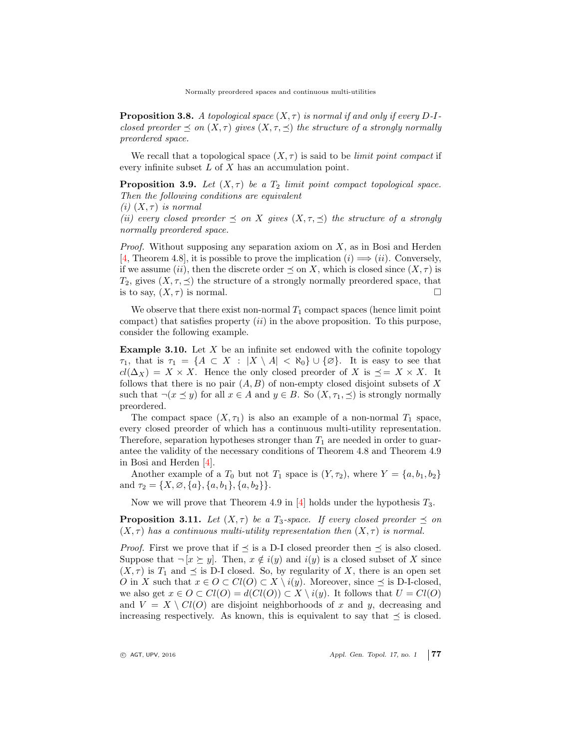Normally preordered spaces and continuous multi-utilities

**Proposition 3.8.** A topological space  $(X, \tau)$  is normal if and only if every D-Iclosed preorder  $\preceq$  on  $(X, \tau)$  gives  $(X, \tau, \preceq)$  the structure of a strongly normally preordered space.

We recall that a topological space  $(X, \tau)$  is said to be *limit point compact* if every infinite subset  $L$  of  $X$  has an accumulation point.

**Proposition 3.9.** Let  $(X, \tau)$  be a  $T_2$  limit point compact topological space. Then the following conditions are equivalent

(i)  $(X, \tau)$  is normal

(ii) every closed preorder  $\preceq$  on X gives  $(X, \tau, \preceq)$  the structure of a strongly normally preordered space.

*Proof.* Without supposing any separation axiom on  $X$ , as in Bosi and Herden [\[4,](#page-9-1) Theorem 4.8], it is possible to prove the implication  $(i) \implies (ii)$ . Conversely, if we assume (ii), then the discrete order  $\preceq$  on X, which is closed since  $(X, \tau)$  is  $T_2$ , gives  $(X, \tau, \preceq)$  the structure of a strongly normally preordered space, that is to say,  $(X, \tau)$  is normal.

We observe that there exist non-normal  $T_1$  compact spaces (hence limit point compact) that satisfies property  $(ii)$  in the above proposition. To this purpose, consider the following example.

**Example 3.10.** Let  $X$  be an infinite set endowed with the cofinite topology  $\tau_1$ , that is  $\tau_1 = \{A \subset X : |X \setminus A| < \aleph_0\} \cup \{\emptyset\}$ . It is easy to see that  $cl(\Delta_X) = X \times X$ . Hence the only closed preorder of X is  $\preceq = X \times X$ . It follows that there is no pair  $(A, B)$  of non-empty closed disjoint subsets of X such that  $\neg(x \preceq y)$  for all  $x \in A$  and  $y \in B$ . So  $(X, \tau_1, \preceq)$  is strongly normally preordered.

The compact space  $(X, \tau_1)$  is also an example of a non-normal  $T_1$  space, every closed preorder of which has a continuous multi-utility representation. Therefore, separation hypotheses stronger than  $T_1$  are needed in order to guarantee the validity of the necessary conditions of Theorem 4.8 and Theorem 4.9 in Bosi and Herden [\[4\]](#page-9-1).

Another example of a  $T_0$  but not  $T_1$  space is  $(Y, \tau_2)$ , where  $Y = \{a, b_1, b_2\}$ and  $\tau_2 = \{X, \emptyset, \{a\}, \{a, b_1\}, \{a, b_2\}\}.$ 

Now we will prove that Theorem 4.9 in  $[4]$  holds under the hypothesis  $T_3$ .

<span id="page-6-0"></span>**Proposition 3.11.** Let  $(X, \tau)$  be a  $T_3$ -space. If every closed preorder  $\preceq$  on  $(X, \tau)$  has a continuous multi-utility representation then  $(X, \tau)$  is normal.

*Proof.* First we prove that if  $\preceq$  is a D-I closed preorder then  $\preceq$  is also closed. Suppose that  $\neg [x \succeq y]$ . Then,  $x \notin i(y)$  and  $i(y)$  is a closed subset of X since  $(X, \tau)$  is  $T_1$  and  $\preceq$  is D-I closed. So, by regularity of X, there is an open set O in X such that  $x \in O \subset Cl(O) \subset X \setminus i(y)$ . Moreover, since  $\preceq$  is D-I-closed, we also get  $x \in O \subset Cl(O) = d(Cl(O)) \subset X \setminus i(y)$ . It follows that  $U = Cl(O)$ and  $V = X \setminus Cl(O)$  are disjoint neighborhoods of x and y, decreasing and increasing respectively. As known, this is equivalent to say that  $\preceq$  is closed.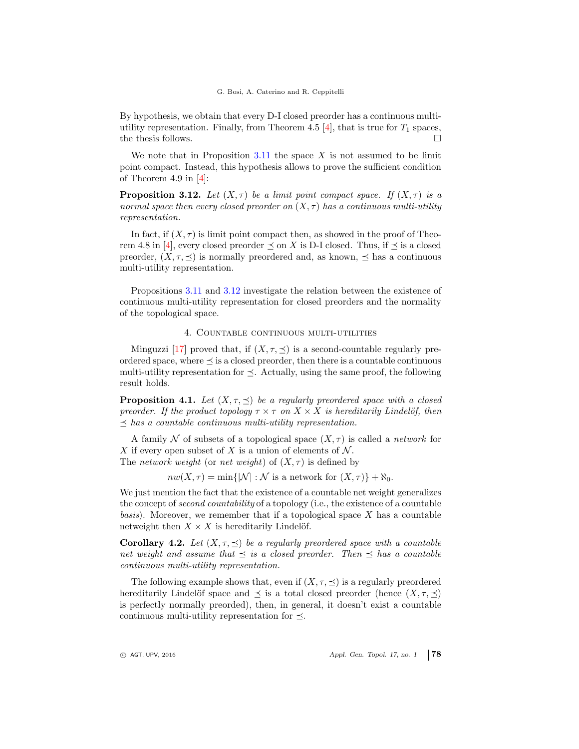#### G. Bosi, A. Caterino and R. Ceppitelli

By hypothesis, we obtain that every D-I closed preorder has a continuous multiutility representation. Finally, from Theorem 4.5  $[4]$ , that is true for  $T_1$  spaces, the thesis follows.  $\Box$ 

We note that in Proposition  $3.11$  the space X is not assumed to be limit point compact. Instead, this hypothesis allows to prove the sufficient condition of Theorem 4.9 in  $[4]$ :

<span id="page-7-0"></span>**Proposition 3.12.** Let  $(X, \tau)$  be a limit point compact space. If  $(X, \tau)$  is a normal space then every closed preorder on  $(X, \tau)$  has a continuous multi-utility representation.

In fact, if  $(X, \tau)$  is limit point compact then, as showed in the proof of Theo-rem 4.8 in [\[4\]](#page-9-1), every closed preorder  $\preceq$  on X is D-I closed. Thus, if  $\preceq$  is a closed preorder,  $(X, \tau, \prec)$  is normally preordered and, as known,  $\prec$  has a continuous multi-utility representation.

Propositions [3.11](#page-6-0) and [3.12](#page-7-0) investigate the relation between the existence of continuous multi-utility representation for closed preorders and the normality of the topological space.

# 4. Countable continuous multi-utilities

Minguzzi [\[17\]](#page-10-4) proved that, if  $(X, \tau, \preceq)$  is a second-countable regularly preordered space, where  $\preceq$  is a closed preorder, then there is a countable continuous multi-utility representation for  $\preceq$ . Actually, using the same proof, the following result holds.

**Proposition 4.1.** Let  $(X, \tau, \leq)$  be a regularly preordered space with a closed preorder. If the product topology  $\tau \times \tau$  on  $X \times X$  is hereditarily Lindelöf, then  $\prec$  has a countable continuous multi-utility representation.

A family N of subsets of a topological space  $(X, \tau)$  is called a *network* for X if every open subset of X is a union of elements of  $\mathcal N$ . The network weight (or net weight) of  $(X, \tau)$  is defined by

 $nw(X, \tau) = min\{|\mathcal{N}| : \mathcal{N}$  is a network for  $(X, \tau)\} + \aleph_0$ .

We just mention the fact that the existence of a countable net weight generalizes the concept of second countability of a topology (i.e., the existence of a countable basis). Moreover, we remember that if a topological space  $X$  has a countable netweight then  $X \times X$  is hereditarily Lindelöf.

**Corollary 4.2.** Let  $(X, \tau, \preceq)$  be a regularly preordered space with a countable net weight and assume that  $\preceq$  is a closed preorder. Then  $\preceq$  has a countable continuous multi-utility representation.

The following example shows that, even if  $(X, \tau, \preceq)$  is a regularly preordered hereditarily Lindelöf space and  $\preceq$  is a total closed preorder (hence  $(X, \tau, \preceq)$ is perfectly normally preorded), then, in general, it doesn't exist a countable continuous multi-utility representation for  $\prec$ .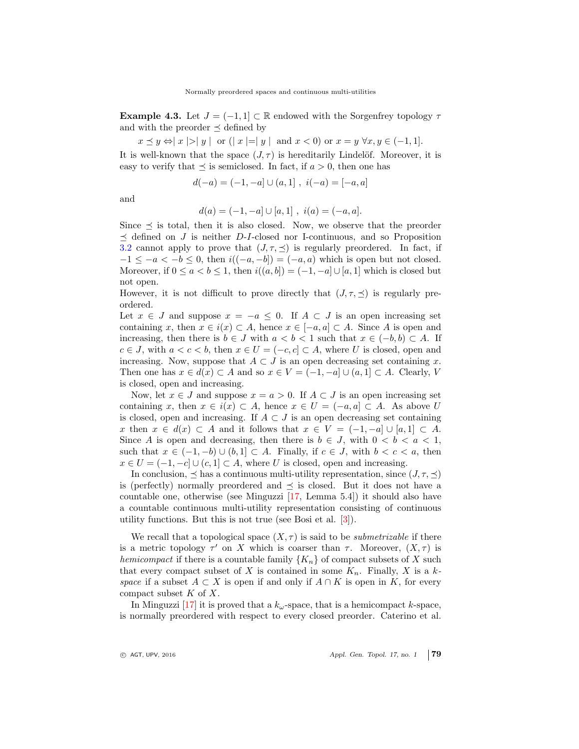**Example 4.3.** Let  $J = (-1, 1] \subset \mathbb{R}$  endowed with the Sorgenfrey topology  $\tau$ and with the preorder  $\prec$  defined by

 $x \preceq y \Leftrightarrow |x| > |y|$  or  $(|x| = |y|$  and  $x < 0$  or  $x = y \forall x, y \in (-1, 1].$ 

It is well-known that the space  $(J, \tau)$  is hereditarily Lindelöf. Moreover, it is easy to verify that  $\preceq$  is semiclosed. In fact, if  $a > 0$ , then one has

$$
d(-a) = (-1, -a] \cup (a, 1], i(-a) = [-a, a]
$$

and

$$
d(a) = (-1, -a] \cup [a, 1], \ i(a) = (-a, a].
$$

Since  $\preceq$  is total, then it is also closed. Now, we observe that the preorder  $\prec$  defined on J is neither D-I-closed nor I-continuous, and so Proposition [3.2](#page-3-0) cannot apply to prove that  $(J, \tau, \preceq)$  is regularly preordered. In fact, if  $-1 \leq -a < -b \leq 0$ , then  $i((-a, -b]) = (-a, a)$  which is open but not closed. Moreover, if  $0 \le a < b \le 1$ , then  $i((a, b]) = (-1, -a] \cup [a, 1]$  which is closed but not open.

However, it is not difficult to prove directly that  $(J, \tau, \preceq)$  is regularly preordered.

Let  $x \in J$  and suppose  $x = -a \leq 0$ . If  $A \subset J$  is an open increasing set containing x, then  $x \in i(x) \subset A$ , hence  $x \in [-a, a] \subset A$ . Since A is open and increasing, then there is  $b \in J$  with  $a < b < 1$  such that  $x \in (-b, b) \subset A$ . If  $c \in J$ , with  $a < c < b$ , then  $x \in U = (-c, c] \subset A$ , where U is closed, open and increasing. Now, suppose that  $A \subset J$  is an open decreasing set containing x. Then one has  $x \in d(x) \subset A$  and so  $x \in V = (-1, -a] \cup (a, 1] \subset A$ . Clearly, V is closed, open and increasing.

Now, let  $x \in J$  and suppose  $x = a > 0$ . If  $A \subset J$  is an open increasing set containing x, then  $x \in i(x) \subset A$ , hence  $x \in U = (-a, a] \subset A$ . As above U is closed, open and increasing. If  $A \subset J$  is an open decreasing set containing x then  $x \in d(x) \subset A$  and it follows that  $x \in V = (-1, -a] \cup [a, 1] \subset A$ . Since A is open and decreasing, then there is  $b \in J$ , with  $0 < b < a < 1$ , such that  $x \in (-1, -b) \cup (b, 1] \subset A$ . Finally, if  $c \in J$ , with  $b < c < a$ , then  $x \in U = (-1, -c] \cup (c, 1] \subset A$ , where U is closed, open and increasing.

In conclusion,  $\prec$  has a continuous multi-utility representation, since  $(J, \tau, \prec)$ is (perfectly) normally preordered and  $\preceq$  is closed. But it does not have a countable one, otherwise (see Minguzzi [\[17,](#page-10-4) Lemma 5.4]) it should also have a countable continuous multi-utility representation consisting of continuous utility functions. But this is not true (see Bosi et al. [\[3\]](#page-9-3)).

We recall that a topological space  $(X, \tau)$  is said to be *submetrizable* if there is a metric topology  $\tau'$  on X which is coarser than  $\tau$ . Moreover,  $(X, \tau)$  is hemicompact if there is a countable family  ${K_n}$  of compact subsets of X such that every compact subset of X is contained in some  $K_n$ . Finally, X is a kspace if a subset  $A \subset X$  is open if and only if  $A \cap K$  is open in K, for every compact subset  $K$  of  $X$ .

In Minguzzi [\[17\]](#page-10-4) it is proved that a  $k_{\omega}$ -space, that is a hemicompact k-space, is normally preordered with respect to every closed preorder. Caterino et al.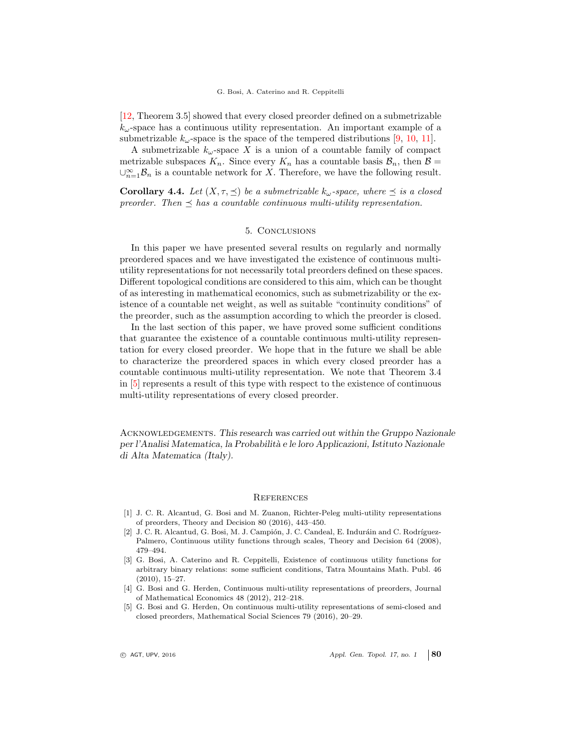#### G. Bosi, A. Caterino and R. Ceppitelli

[\[12,](#page-10-5) Theorem 3.5] showed that every closed preorder defined on a submetrizable  $k_{\omega}$ -space has a continuous utility representation. An important example of a submetrizable  $k_{\omega}$ -space is the space of the tempered distributions [\[9,](#page-10-6) [10,](#page-10-7) [11\]](#page-10-8).

A submetrizable  $k_{\omega}$ -space X is a union of a countable family of compact metrizable subspaces  $K_n$ . Since every  $K_n$  has a countable basis  $\mathcal{B}_n$ , then  $\mathcal{B} =$  $\cup_{n=1}^{\infty}$  B<sub>n</sub> is a countable network for X. Therefore, we have the following result.

**Corollary 4.4.** Let  $(X, \tau, \preceq)$  be a submetrizable  $k_{\omega}$ -space, where  $\preceq$  is a closed preorder. Then  $\preceq$  has a countable continuous multi-utility representation.

# 5. Conclusions

In this paper we have presented several results on regularly and normally preordered spaces and we have investigated the existence of continuous multiutility representations for not necessarily total preorders defined on these spaces. Different topological conditions are considered to this aim, which can be thought of as interesting in mathematical economics, such as submetrizability or the existence of a countable net weight, as well as suitable "continuity conditions" of the preorder, such as the assumption according to which the preorder is closed.

In the last section of this paper, we have proved some sufficient conditions that guarantee the existence of a countable continuous multi-utility representation for every closed preorder. We hope that in the future we shall be able to characterize the preordered spaces in which every closed preorder has a countable continuous multi-utility representation. We note that Theorem 3.4 in [\[5\]](#page-9-4) represents a result of this type with respect to the existence of continuous multi-utility representations of every closed preorder.

ACKNOWLEDGEMENTS. This research was carried out within the Gruppo Nazionale per l'Analisi Matematica, la Probabilit`a e le loro Applicazioni, Istituto Nazionale di Alta Matematica (Italy).

### <span id="page-9-0"></span>**REFERENCES**

- <span id="page-9-2"></span>[1] J. C. R. Alcantud, G. Bosi and M. Zuanon, Richter-Peleg multi-utility representations of preorders, Theory and Decision 80 (2016), 443–450.
- [2] J. C. R. Alcantud, G. Bosi, M. J. Campión, J. C. Candeal, E. Induráin and C. Rodríguez-Palmero, Continuous utility functions through scales, Theory and Decision 64 (2008), 479–494.
- <span id="page-9-3"></span>[3] G. Bosi, A. Caterino and R. Ceppitelli, Existence of continuous utility functions for arbitrary binary relations: some sufficient conditions, Tatra Mountains Math. Publ. 46 (2010), 15–27.
- <span id="page-9-1"></span>[4] G. Bosi and G. Herden, Continuous multi-utility representations of preorders, Journal of Mathematical Economics 48 (2012), 212–218.
- <span id="page-9-4"></span>[5] G. Bosi and G. Herden, On continuous multi-utility representations of semi-closed and closed preorders, Mathematical Social Sciences 79 (2016), 20–29.